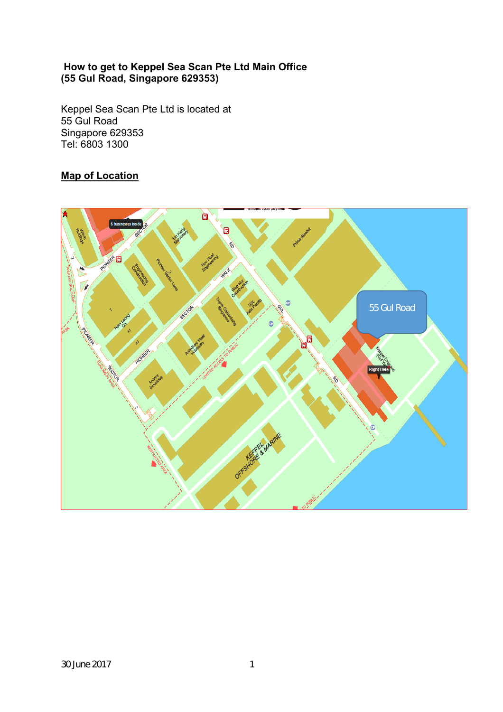#### **How to get to Keppel Sea Scan Pte Ltd Main Office (55 Gul Road, Singapore 629353)**

Keppel Sea Scan Pte Ltd is located at 55 Gul Road Singapore 629353 Tel: 6803 1300

## **Map of Location**

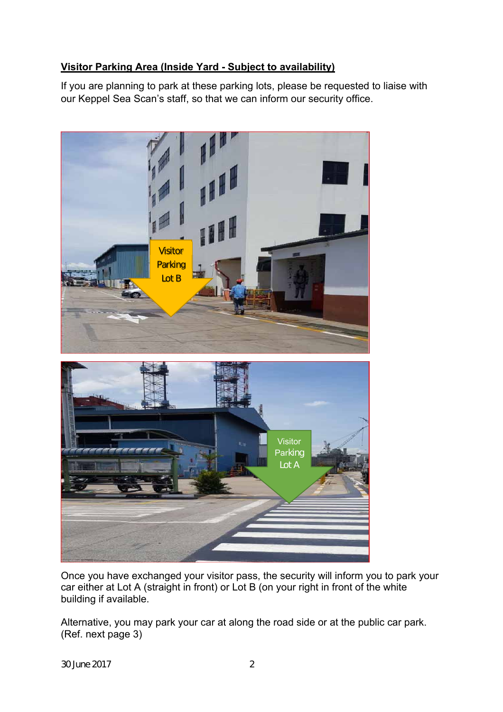### **Visitor Parking Area (Inside Yard - Subject to availability)**

If you are planning to park at these parking lots, please be requested to liaise with our Keppel Sea Scan's staff, so that we can inform our security office.



Once you have exchanged your visitor pass, the security will inform you to park your car either at Lot A (straight in front) or Lot B (on your right in front of the white building if available.

Alternative, you may park your car at along the road side or at the public car park. (Ref. next page 3)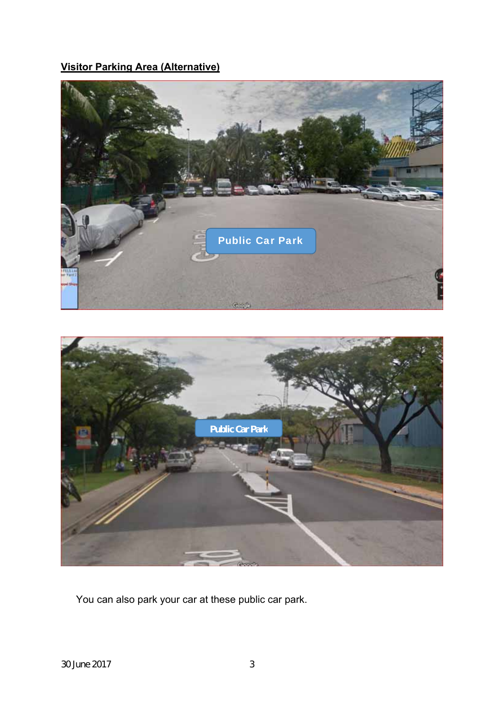# **Visitor Parking Area (Alternative)**





You can also park your car at these public car park.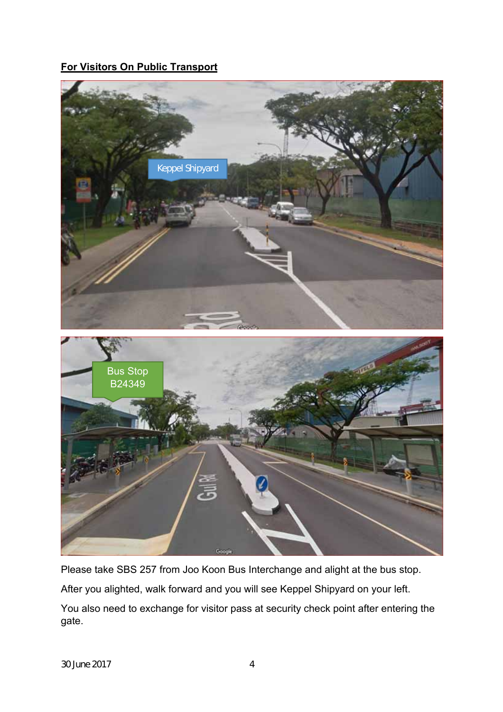### **For Visitors On Public Transport**



Please take SBS 257 from Joo Koon Bus Interchange and alight at the bus stop. After you alighted, walk forward and you will see Keppel Shipyard on your left. You also need to exchange for visitor pass at security check point after entering the gate.